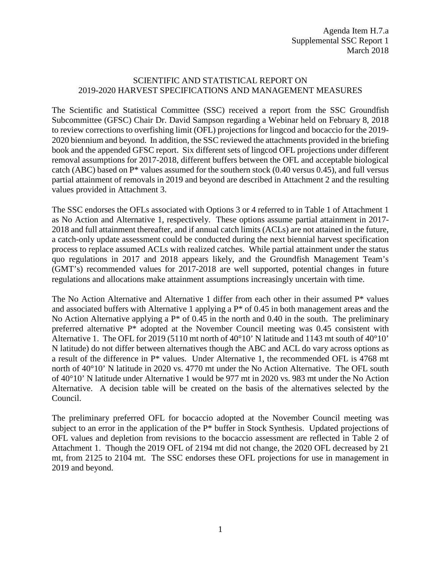#### SCIENTIFIC AND STATISTICAL REPORT ON 2019-2020 HARVEST SPECIFICATIONS AND MANAGEMENT MEASURES

The Scientific and Statistical Committee (SSC) received a report from the SSC Groundfish Subcommittee (GFSC) Chair Dr. David Sampson regarding a Webinar held on February 8, 2018 to review corrections to overfishing limit (OFL) projections for lingcod and bocaccio for the 2019- 2020 biennium and beyond. In addition, the SSC reviewed the attachments provided in the briefing book and the appended GFSC report. Six different sets of lingcod OFL projections under different removal assumptions for 2017-2018, different buffers between the OFL and acceptable biological catch (ABC) based on P\* values assumed for the southern stock (0.40 versus 0.45), and full versus partial attainment of removals in 2019 and beyond are described in Attachment 2 and the resulting values provided in Attachment 3.

The SSC endorses the OFLs associated with Options 3 or 4 referred to in Table 1 of Attachment 1 as No Action and Alternative 1, respectively. These options assume partial attainment in 2017- 2018 and full attainment thereafter, and if annual catch limits (ACLs) are not attained in the future, a catch-only update assessment could be conducted during the next biennial harvest specification process to replace assumed ACLs with realized catches. While partial attainment under the status quo regulations in 2017 and 2018 appears likely, and the Groundfish Management Team's (GMT's) recommended values for 2017-2018 are well supported, potential changes in future regulations and allocations make attainment assumptions increasingly uncertain with time.

The No Action Alternative and Alternative 1 differ from each other in their assumed P\* values and associated buffers with Alternative 1 applying a  $P^*$  of 0.45 in both management areas and the No Action Alternative applying a  $P^*$  of 0.45 in the north and 0.40 in the south. The preliminary preferred alternative P\* adopted at the November Council meeting was 0.45 consistent with Alternative 1. The OFL for 2019 (5110 mt north of  $40^{\circ}10'$  N latitude and 1143 mt south of  $40^{\circ}10'$ N latitude) do not differ between alternatives though the ABC and ACL do vary across options as a result of the difference in P\* values. Under Alternative 1, the recommended OFL is 4768 mt north of 40°10' N latitude in 2020 vs. 4770 mt under the No Action Alternative. The OFL south of 40°10' N latitude under Alternative 1 would be 977 mt in 2020 vs. 983 mt under the No Action Alternative. A decision table will be created on the basis of the alternatives selected by the Council.

The preliminary preferred OFL for bocaccio adopted at the November Council meeting was subject to an error in the application of the P\* buffer in Stock Synthesis. Updated projections of OFL values and depletion from revisions to the bocaccio assessment are reflected in Table 2 of Attachment 1. Though the 2019 OFL of 2194 mt did not change, the 2020 OFL decreased by 21 mt, from 2125 to 2104 mt. The SSC endorses these OFL projections for use in management in 2019 and beyond.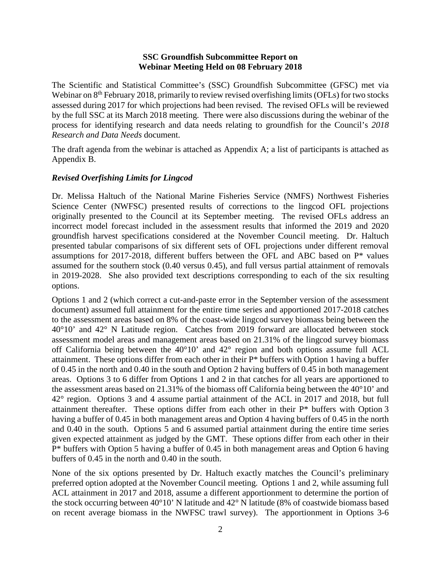#### **SSC Groundfish Subcommittee Report on Webinar Meeting Held on 08 February 2018**

The Scientific and Statistical Committee's (SSC) Groundfish Subcommittee (GFSC) met via Webinar on 8<sup>th</sup> February 2018, primarily to review revised overfishing limits (OFLs) for two stocks assessed during 2017 for which projections had been revised. The revised OFLs will be reviewed by the full SSC at its March 2018 meeting. There were also discussions during the webinar of the process for identifying research and data needs relating to groundfish for the Council's *2018 Research and Data Needs* document.

The draft agenda from the webinar is attached as Appendix A; a list of participants is attached as Appendix B.

#### *Revised Overfishing Limits for Lingcod*

Dr. Melissa Haltuch of the National Marine Fisheries Service (NMFS) Northwest Fisheries Science Center (NWFSC) presented results of corrections to the lingcod OFL projections originally presented to the Council at its September meeting. The revised OFLs address an incorrect model forecast included in the assessment results that informed the 2019 and 2020 groundfish harvest specifications considered at the November Council meeting. Dr. Haltuch presented tabular comparisons of six different sets of OFL projections under different removal assumptions for 2017-2018, different buffers between the OFL and ABC based on P\* values assumed for the southern stock (0.40 versus 0.45), and full versus partial attainment of removals in 2019-2028. She also provided text descriptions corresponding to each of the six resulting options.

Options 1 and 2 (which correct a cut-and-paste error in the September version of the assessment document) assumed full attainment for the entire time series and apportioned 2017-2018 catches to the assessment areas based on 8% of the coast-wide lingcod survey biomass being between the 40°10' and 42° N Latitude region. Catches from 2019 forward are allocated between stock assessment model areas and management areas based on 21.31% of the lingcod survey biomass off California being between the 40°10' and 42° region and both options assume full ACL attainment. These options differ from each other in their P\* buffers with Option 1 having a buffer of 0.45 in the north and 0.40 in the south and Option 2 having buffers of 0.45 in both management areas. Options 3 to 6 differ from Options 1 and 2 in that catches for all years are apportioned to the assessment areas based on 21.31% of the biomass off California being between the 40°10' and 42° region. Options 3 and 4 assume partial attainment of the ACL in 2017 and 2018, but full attainment thereafter. These options differ from each other in their P\* buffers with Option 3 having a buffer of 0.45 in both management areas and Option 4 having buffers of 0.45 in the north and 0.40 in the south. Options 5 and 6 assumed partial attainment during the entire time series given expected attainment as judged by the GMT. These options differ from each other in their P\* buffers with Option 5 having a buffer of 0.45 in both management areas and Option 6 having buffers of 0.45 in the north and 0.40 in the south.

None of the six options presented by Dr. Haltuch exactly matches the Council's preliminary preferred option adopted at the November Council meeting. Options 1 and 2, while assuming full ACL attainment in 2017 and 2018, assume a different apportionment to determine the portion of the stock occurring between 40°10' N latitude and 42° N latitude (8% of coastwide biomass based on recent average biomass in the NWFSC trawl survey). The apportionment in Options 3-6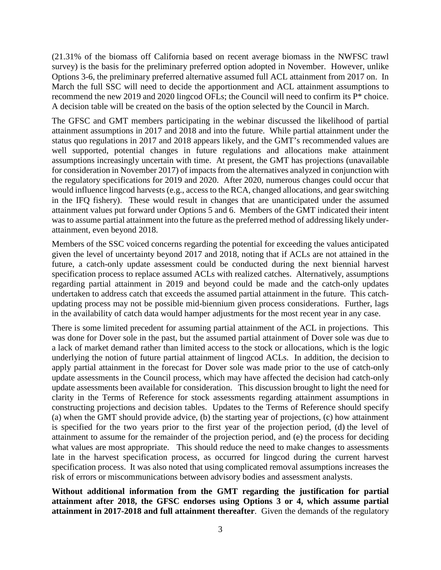(21.31% of the biomass off California based on recent average biomass in the NWFSC trawl survey) is the basis for the preliminary preferred option adopted in November. However, unlike Options 3-6, the preliminary preferred alternative assumed full ACL attainment from 2017 on. In March the full SSC will need to decide the apportionment and ACL attainment assumptions to recommend the new 2019 and 2020 lingcod OFLs; the Council will need to confirm its P\* choice. A decision table will be created on the basis of the option selected by the Council in March.

The GFSC and GMT members participating in the webinar discussed the likelihood of partial attainment assumptions in 2017 and 2018 and into the future. While partial attainment under the status quo regulations in 2017 and 2018 appears likely, and the GMT's recommended values are well supported, potential changes in future regulations and allocations make attainment assumptions increasingly uncertain with time. At present, the GMT has projections (unavailable for consideration in November 2017) of impacts from the alternatives analyzed in conjunction with the regulatory specifications for 2019 and 2020. After 2020, numerous changes could occur that would influence lingcod harvests (e.g., access to the RCA, changed allocations, and gear switching in the IFQ fishery). These would result in changes that are unanticipated under the assumed attainment values put forward under Options 5 and 6. Members of the GMT indicated their intent was to assume partial attainment into the future as the preferred method of addressing likely underattainment, even beyond 2018.

Members of the SSC voiced concerns regarding the potential for exceeding the values anticipated given the level of uncertainty beyond 2017 and 2018, noting that if ACLs are not attained in the future, a catch-only update assessment could be conducted during the next biennial harvest specification process to replace assumed ACLs with realized catches. Alternatively, assumptions regarding partial attainment in 2019 and beyond could be made and the catch-only updates undertaken to address catch that exceeds the assumed partial attainment in the future. This catchupdating process may not be possible mid-biennium given process considerations. Further, lags in the availability of catch data would hamper adjustments for the most recent year in any case.

There is some limited precedent for assuming partial attainment of the ACL in projections. This was done for Dover sole in the past, but the assumed partial attainment of Dover sole was due to a lack of market demand rather than limited access to the stock or allocations, which is the logic underlying the notion of future partial attainment of lingcod ACLs. In addition, the decision to apply partial attainment in the forecast for Dover sole was made prior to the use of catch-only update assessments in the Council process, which may have affected the decision had catch-only update assessments been available for consideration. This discussion brought to light the need for clarity in the Terms of Reference for stock assessments regarding attainment assumptions in constructing projections and decision tables. Updates to the Terms of Reference should specify (a) when the GMT should provide advice, (b) the starting year of projections, (c) how attainment is specified for the two years prior to the first year of the projection period, (d) the level of attainment to assume for the remainder of the projection period, and (e) the process for deciding what values are most appropriate. This should reduce the need to make changes to assessments late in the harvest specification process, as occurred for lingcod during the current harvest specification process. It was also noted that using complicated removal assumptions increases the risk of errors or miscommunications between advisory bodies and assessment analysts.

**Without additional information from the GMT regarding the justification for partial attainment after 2018, the GFSC endorses using Options 3 or 4, which assume partial attainment in 2017-2018 and full attainment thereafter**. Given the demands of the regulatory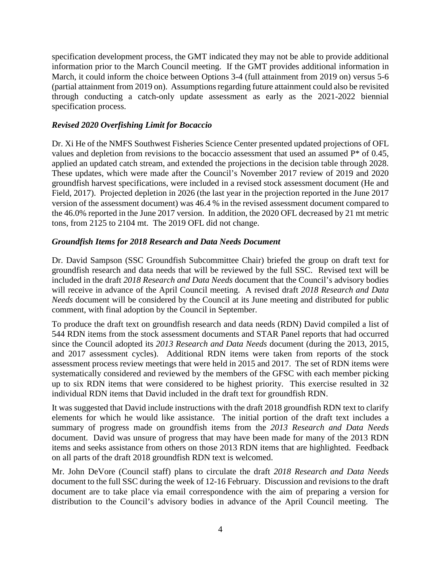specification development process, the GMT indicated they may not be able to provide additional information prior to the March Council meeting. If the GMT provides additional information in March, it could inform the choice between Options 3-4 (full attainment from 2019 on) versus 5-6 (partial attainment from 2019 on). Assumptions regarding future attainment could also be revisited through conducting a catch-only update assessment as early as the 2021-2022 biennial specification process.

### *Revised 2020 Overfishing Limit for Bocaccio*

Dr. Xi He of the NMFS Southwest Fisheries Science Center presented updated projections of OFL values and depletion from revisions to the bocaccio assessment that used an assumed P\* of 0.45, applied an updated catch stream, and extended the projections in the decision table through 2028. These updates, which were made after the Council's November 2017 review of 2019 and 2020 groundfish harvest specifications, were included in a revised stock assessment document (He and Field, 2017). Projected depletion in 2026 (the last year in the projection reported in the June 2017 version of the assessment document) was 46.4 % in the revised assessment document compared to the 46.0% reported in the June 2017 version. In addition, the 2020 OFL decreased by 21 mt metric tons, from 2125 to 2104 mt. The 2019 OFL did not change.

#### *Groundfish Items for 2018 Research and Data Needs Document*

Dr. David Sampson (SSC Groundfish Subcommittee Chair) briefed the group on draft text for groundfish research and data needs that will be reviewed by the full SSC. Revised text will be included in the draft *2018 Research and Data Needs* document that the Council's advisory bodies will receive in advance of the April Council meeting. A revised draft *2018 Research and Data Needs* document will be considered by the Council at its June meeting and distributed for public comment, with final adoption by the Council in September.

To produce the draft text on groundfish research and data needs (RDN) David compiled a list of 544 RDN items from the stock assessment documents and STAR Panel reports that had occurred since the Council adopted its *2013 Research and Data Needs* document (during the 2013, 2015, and 2017 assessment cycles). Additional RDN items were taken from reports of the stock assessment process review meetings that were held in 2015 and 2017. The set of RDN items were systematically considered and reviewed by the members of the GFSC with each member picking up to six RDN items that were considered to be highest priority. This exercise resulted in 32 individual RDN items that David included in the draft text for groundfish RDN.

It was suggested that David include instructions with the draft 2018 groundfish RDN text to clarify elements for which he would like assistance. The initial portion of the draft text includes a summary of progress made on groundfish items from the *2013 Research and Data Needs* document. David was unsure of progress that may have been made for many of the 2013 RDN items and seeks assistance from others on those 2013 RDN items that are highlighted. Feedback on all parts of the draft 2018 groundfish RDN text is welcomed.

Mr. John DeVore (Council staff) plans to circulate the draft *2018 Research and Data Needs* document to the full SSC during the week of 12-16 February. Discussion and revisions to the draft document are to take place via email correspondence with the aim of preparing a version for distribution to the Council's advisory bodies in advance of the April Council meeting. The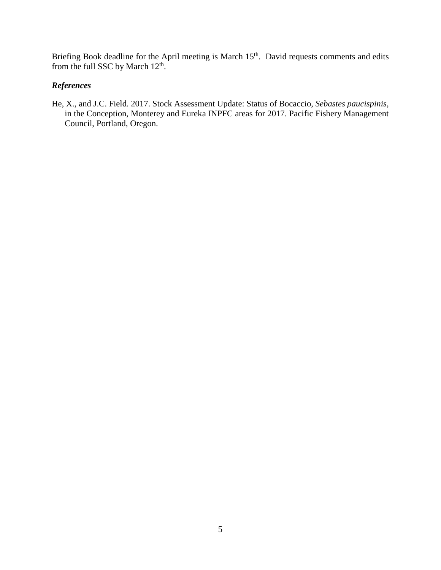Briefing Book deadline for the April meeting is March 15<sup>th</sup>. David requests comments and edits from the full SSC by March  $12^{\text{th}}$ .

# *References*

He, X., and J.C. Field. 2017. Stock Assessment Update: Status of Bocaccio, *Sebastes paucispinis*, in the Conception, Monterey and Eureka INPFC areas for 2017. Pacific Fishery Management Council, Portland, Oregon.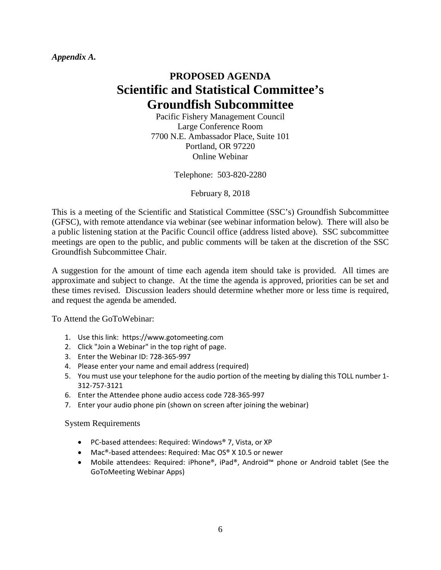*Appendix A.*

# **PROPOSED AGENDA Scientific and Statistical Committee's Groundfish Subcommittee**

Pacific Fishery Management Council Large Conference Room 7700 N.E. Ambassador Place, Suite 101 Portland, OR 97220 Online Webinar

Telephone: 503-820-2280

February 8, 2018

This is a meeting of the Scientific and Statistical Committee (SSC's) Groundfish Subcommittee (GFSC), with remote attendance via webinar (see webinar information below). There will also be a public listening station at the Pacific Council office (address listed above). SSC subcommittee meetings are open to the public, and public comments will be taken at the discretion of the SSC Groundfish Subcommittee Chair.

A suggestion for the amount of time each agenda item should take is provided. All times are approximate and subject to change. At the time the agenda is approved, priorities can be set and these times revised. Discussion leaders should determine whether more or less time is required, and request the agenda be amended.

To Attend the GoToWebinar:

- 1. Use this link: https://www.gotomeeting.com
- 2. Click "Join a Webinar" in the top right of page.
- 3. Enter the Webinar ID: 728-365-997
- 4. Please enter your name and email address (required)
- 5. You must use your telephone for the audio portion of the meeting by dialing this TOLL number 1- 312-757-3121
- 6. Enter the Attendee phone audio access code 728-365-997
- 7. Enter your audio phone pin (shown on screen after joining the webinar)

System Requirements

- PC-based attendees: Required: Windows® 7, Vista, or XP
- Mac®-based attendees: Required: Mac OS® X 10.5 or newer
- Mobile attendees: Required: iPhone®, iPad®, Android™ phone or Android tablet (See the GoToMeeting Webinar Apps)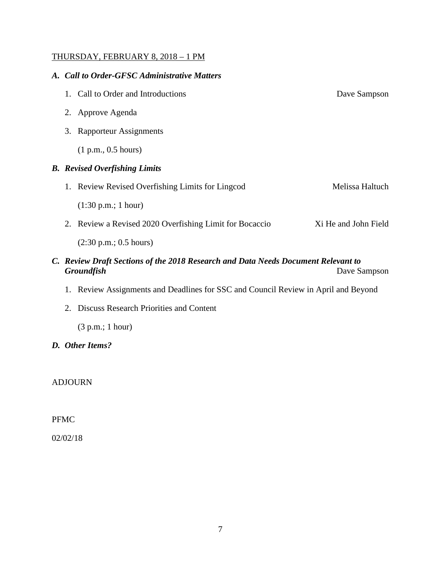## THURSDAY, FEBRUARY 8, 2018 – 1 PM

#### *A. Call to Order-GFSC Administrative Matters*

|    | 1. Call to Order and Introductions                      | Dave Sampson         |
|----|---------------------------------------------------------|----------------------|
|    | 2. Approve Agenda                                       |                      |
| 3. | <b>Rapporteur Assignments</b>                           |                      |
|    | (1 p.m., 0.5 hours)                                     |                      |
|    | <b>B.</b> Revised Overfishing Limits                    |                      |
|    | 1. Review Revised Overfishing Limits for Lingcod        | Melissa Haltuch      |
|    | $(1:30 \text{ p.m.}; 1 \text{ hour})$                   |                      |
|    | 2. Review a Revised 2020 Overfishing Limit for Bocaccio | Xi He and John Field |
|    | $(2:30 \text{ p.m.}; 0.5 \text{ hours})$                |                      |
|    |                                                         |                      |

- *C. Review Draft Sections of the 2018 Research and Data Needs Document Relevant to*  Dave Sampson
	- 1. Review Assignments and Deadlines for SSC and Council Review in April and Beyond
	- 2. Discuss Research Priorities and Content

(3 p.m.; 1 hour)

*D. Other Items?*

ADJOURN

PFMC

02/02/18